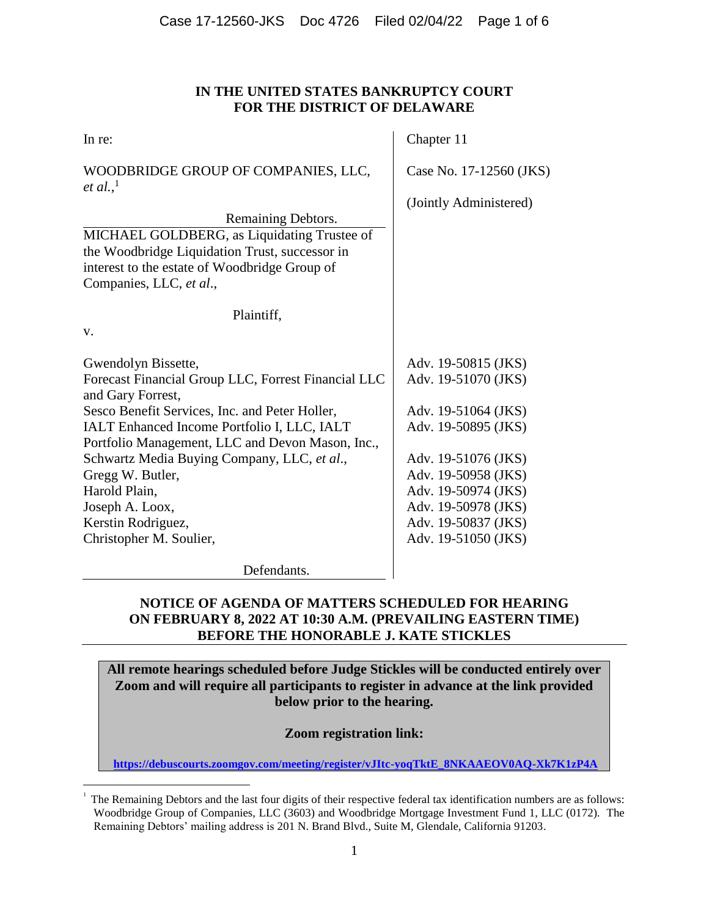# **IN THE UNITED STATES BANKRUPTCY COURT FOR THE DISTRICT OF DELAWARE**

| In re:                                                                                                                                                                                                                                                                                                                                   | Chapter 11                                                                                                                                                    |  |
|------------------------------------------------------------------------------------------------------------------------------------------------------------------------------------------------------------------------------------------------------------------------------------------------------------------------------------------|---------------------------------------------------------------------------------------------------------------------------------------------------------------|--|
| WOODBRIDGE GROUP OF COMPANIES, LLC,<br><i>et al.</i> , <sup>1</sup>                                                                                                                                                                                                                                                                      | Case No. 17-12560 (JKS)                                                                                                                                       |  |
| Remaining Debtors.<br>MICHAEL GOLDBERG, as Liquidating Trustee of<br>the Woodbridge Liquidation Trust, successor in<br>interest to the estate of Woodbridge Group of<br>Companies, LLC, et al.,                                                                                                                                          | (Jointly Administered)                                                                                                                                        |  |
| Plaintiff,                                                                                                                                                                                                                                                                                                                               |                                                                                                                                                               |  |
| V.                                                                                                                                                                                                                                                                                                                                       |                                                                                                                                                               |  |
| Gwendolyn Bissette,<br>Forecast Financial Group LLC, Forrest Financial LLC<br>and Gary Forrest,<br>Sesco Benefit Services, Inc. and Peter Holler,<br>IALT Enhanced Income Portfolio I, LLC, IALT<br>Portfolio Management, LLC and Devon Mason, Inc.,<br>Schwartz Media Buying Company, LLC, et al.,<br>Gregg W. Butler,<br>Harold Plain, | Adv. 19-50815 (JKS)<br>Adv. 19-51070 (JKS)<br>Adv. 19-51064 (JKS)<br>Adv. 19-50895 (JKS)<br>Adv. 19-51076 (JKS)<br>Adv. 19-50958 (JKS)<br>Adv. 19-50974 (JKS) |  |
| Joseph A. Loox,<br>Kerstin Rodriguez,<br>Christopher M. Soulier,                                                                                                                                                                                                                                                                         | Adv. 19-50978 (JKS)<br>Adv. 19-50837 (JKS)<br>Adv. 19-51050 (JKS)                                                                                             |  |
| Defendants.                                                                                                                                                                                                                                                                                                                              |                                                                                                                                                               |  |

# **NOTICE OF AGENDA OF MATTERS SCHEDULED FOR HEARING ON FEBRUARY 8, 2022 AT 10:30 A.M. (PREVAILING EASTERN TIME) BEFORE THE HONORABLE J. KATE STICKLES**

**All remote hearings scheduled before Judge Stickles will be conducted entirely over Zoom and will require all participants to register in advance at the link provided below prior to the hearing.**

**Zoom registration link:**

**https://debuscourts.zoomgov.com/meeting/register/vJItc-yoqTktE\_8NKAAEOV0AQ-Xk7K1zP4A**

 $\overline{a}$ 1

The Remaining Debtors and the last four digits of their respective federal tax identification numbers are as follows: Woodbridge Group of Companies, LLC (3603) and Woodbridge Mortgage Investment Fund 1, LLC (0172). The Remaining Debtors' mailing address is 201 N. Brand Blvd., Suite M, Glendale, California 91203.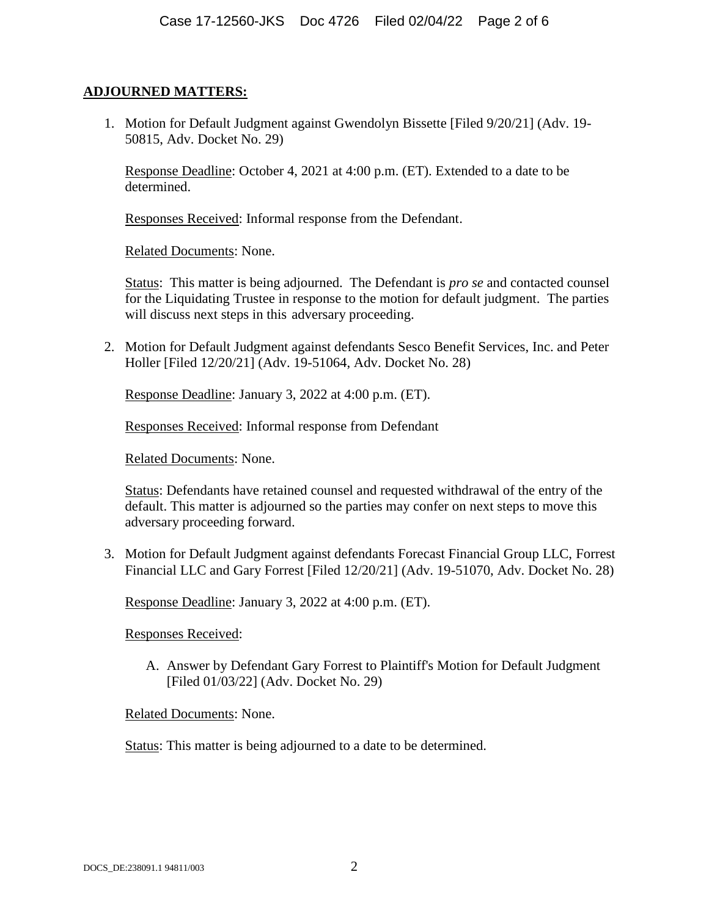## **ADJOURNED MATTERS:**

1. Motion for Default Judgment against Gwendolyn Bissette [Filed 9/20/21] (Adv. 19- 50815, Adv. Docket No. 29)

Response Deadline: October 4, 2021 at 4:00 p.m. (ET). Extended to a date to be determined.

Responses Received: Informal response from the Defendant.

Related Documents: None.

Status: This matter is being adjourned. The Defendant is *pro se* and contacted counsel for the Liquidating Trustee in response to the motion for default judgment. The parties will discuss next steps in this adversary proceeding.

2. Motion for Default Judgment against defendants Sesco Benefit Services, Inc. and Peter Holler [Filed 12/20/21] (Adv. 19-51064, Adv. Docket No. 28)

Response Deadline: January 3, 2022 at 4:00 p.m. (ET).

Responses Received: Informal response from Defendant

Related Documents: None.

Status: Defendants have retained counsel and requested withdrawal of the entry of the default. This matter is adjourned so the parties may confer on next steps to move this adversary proceeding forward.

3. Motion for Default Judgment against defendants Forecast Financial Group LLC, Forrest Financial LLC and Gary Forrest [Filed 12/20/21] (Adv. 19-51070, Adv. Docket No. 28)

Response Deadline: January 3, 2022 at 4:00 p.m. (ET).

Responses Received:

A. Answer by Defendant Gary Forrest to Plaintiff's Motion for Default Judgment [Filed 01/03/22] (Adv. Docket No. 29)

Related Documents: None.

Status: This matter is being adjourned to a date to be determined.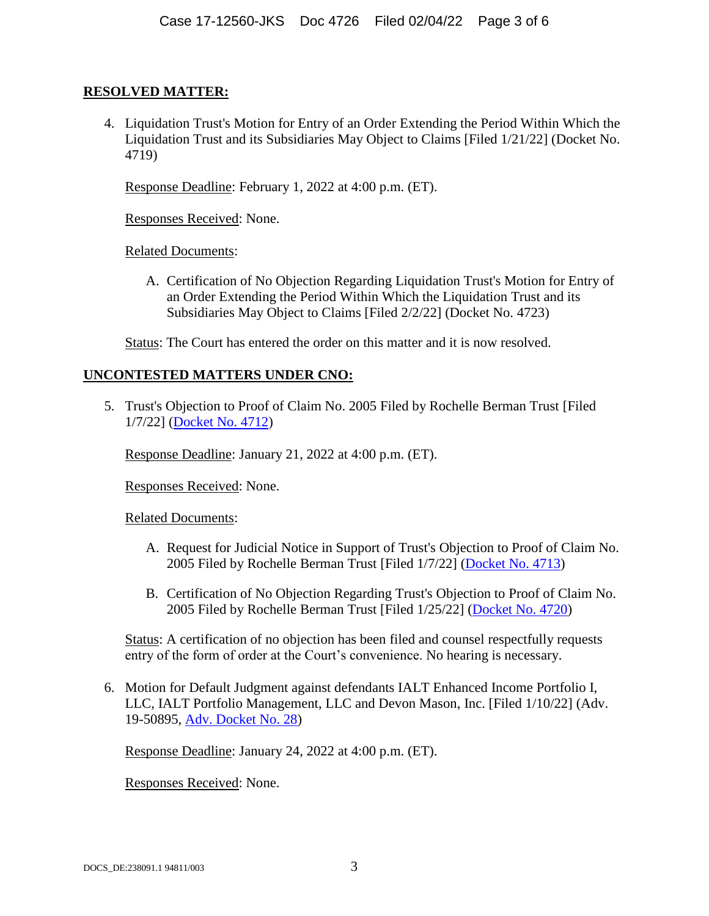#### **RESOLVED MATTER:**

4. Liquidation Trust's Motion for Entry of an Order Extending the Period Within Which the Liquidation Trust and its Subsidiaries May Object to Claims [Filed 1/21/22] (Docket No. 4719)

Response Deadline: February 1, 2022 at 4:00 p.m. (ET).

Responses Received: None.

Related Documents:

A. Certification of No Objection Regarding Liquidation Trust's Motion for Entry of an Order Extending the Period Within Which the Liquidation Trust and its Subsidiaries May Object to Claims [Filed 2/2/22] (Docket No. 4723)

Status: The Court has entered the order on this matter and it is now resolved.

## **UNCONTESTED MATTERS UNDER CNO:**

5. Trust's Objection to Proof of Claim No. 2005 Filed by Rochelle Berman Trust [Filed 1/7/22] (Docket No. 4712)

Response Deadline: January 21, 2022 at 4:00 p.m. (ET).

Responses Received: None.

Related Documents:

- A. Request for Judicial Notice in Support of Trust's Objection to Proof of Claim No. 2005 Filed by Rochelle Berman Trust [Filed 1/7/22] (Docket No. 4713)
- B. Certification of No Objection Regarding Trust's Objection to Proof of Claim No. 2005 Filed by Rochelle Berman Trust [Filed 1/25/22] (Docket No. 4720)

Status: A certification of no objection has been filed and counsel respectfully requests entry of the form of order at the Court's convenience. No hearing is necessary.

6. Motion for Default Judgment against defendants IALT Enhanced Income Portfolio I, LLC, IALT Portfolio Management, LLC and Devon Mason, Inc. [Filed 1/10/22] (Adv. 19-50895, Adv. Docket No. 28)

Response Deadline: January 24, 2022 at 4:00 p.m. (ET).

Responses Received: None.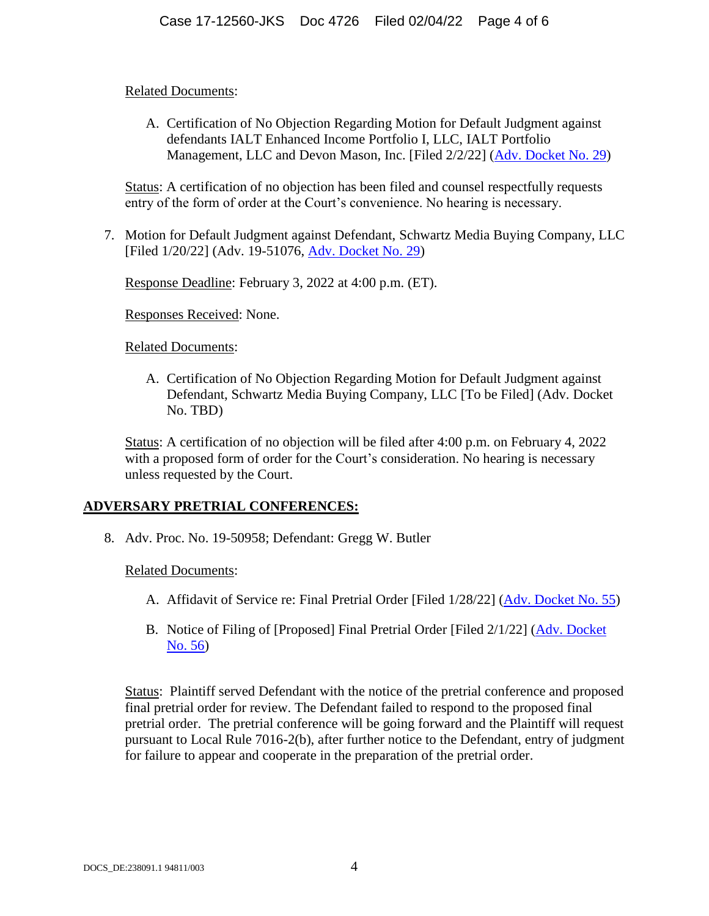#### Related Documents:

A. Certification of No Objection Regarding Motion for Default Judgment against defendants IALT Enhanced Income Portfolio I, LLC, IALT Portfolio Management, LLC and Devon Mason, Inc. [Filed 2/2/22] (Adv. Docket No. 29)

Status: A certification of no objection has been filed and counsel respectfully requests entry of the form of order at the Court's convenience. No hearing is necessary.

7. Motion for Default Judgment against Defendant, Schwartz Media Buying Company, LLC [Filed 1/20/22] (Adv. 19-51076, Adv. Docket No. 29)

Response Deadline: February 3, 2022 at 4:00 p.m. (ET).

Responses Received: None.

## Related Documents:

A. Certification of No Objection Regarding Motion for Default Judgment against Defendant, Schwartz Media Buying Company, LLC [To be Filed] (Adv. Docket No. TBD)

Status: A certification of no objection will be filed after 4:00 p.m. on February 4, 2022 with a proposed form of order for the Court's consideration. No hearing is necessary unless requested by the Court.

# **ADVERSARY PRETRIAL CONFERENCES:**

8. Adv. Proc. No. 19-50958; Defendant: Gregg W. Butler

Related Documents:

- A. Affidavit of Service re: Final Pretrial Order [Filed 1/28/22] (Adv. Docket No. 55)
- B. Notice of Filing of [Proposed] Final Pretrial Order [Filed 2/1/22] (Adv. Docket No. 56)

Status: Plaintiff served Defendant with the notice of the pretrial conference and proposed final pretrial order for review. The Defendant failed to respond to the proposed final pretrial order. The pretrial conference will be going forward and the Plaintiff will request pursuant to Local Rule 7016-2(b), after further notice to the Defendant, entry of judgment for failure to appear and cooperate in the preparation of the pretrial order.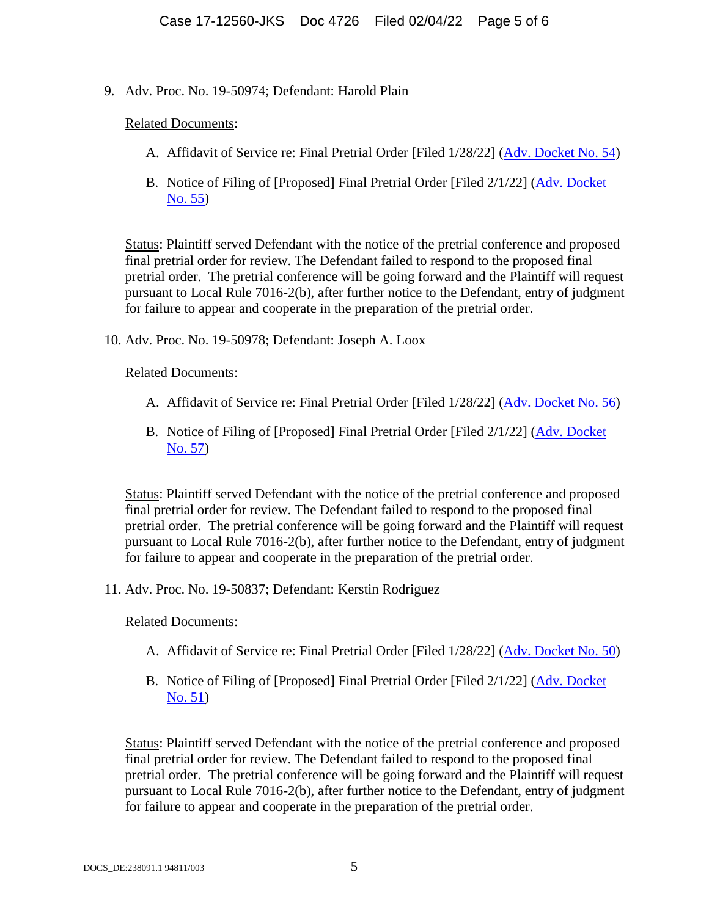9. Adv. Proc. No. 19-50974; Defendant: Harold Plain

#### Related Documents:

- A. Affidavit of Service re: Final Pretrial Order [Filed 1/28/22] (Adv. Docket No. 54)
- B. Notice of Filing of [Proposed] Final Pretrial Order [Filed 2/1/22] (Adv. Docket No. 55)

Status: Plaintiff served Defendant with the notice of the pretrial conference and proposed final pretrial order for review. The Defendant failed to respond to the proposed final pretrial order. The pretrial conference will be going forward and the Plaintiff will request pursuant to Local Rule 7016-2(b), after further notice to the Defendant, entry of judgment for failure to appear and cooperate in the preparation of the pretrial order.

10. Adv. Proc. No. 19-50978; Defendant: Joseph A. Loox

## Related Documents:

- A. Affidavit of Service re: Final Pretrial Order [Filed 1/28/22] (Adv. Docket No. 56)
- B. Notice of Filing of [Proposed] Final Pretrial Order [Filed 2/1/22] (Adv. Docket No. 57)

Status: Plaintiff served Defendant with the notice of the pretrial conference and proposed final pretrial order for review. The Defendant failed to respond to the proposed final pretrial order. The pretrial conference will be going forward and the Plaintiff will request pursuant to Local Rule 7016-2(b), after further notice to the Defendant, entry of judgment for failure to appear and cooperate in the preparation of the pretrial order.

11. Adv. Proc. No. 19-50837; Defendant: Kerstin Rodriguez

#### Related Documents:

- A. Affidavit of Service re: Final Pretrial Order [Filed 1/28/22] (Adv. Docket No. 50)
- B. Notice of Filing of [Proposed] Final Pretrial Order [Filed 2/1/22] (Adv. Docket No. 51)

Status: Plaintiff served Defendant with the notice of the pretrial conference and proposed final pretrial order for review. The Defendant failed to respond to the proposed final pretrial order. The pretrial conference will be going forward and the Plaintiff will request pursuant to Local Rule 7016-2(b), after further notice to the Defendant, entry of judgment for failure to appear and cooperate in the preparation of the pretrial order.